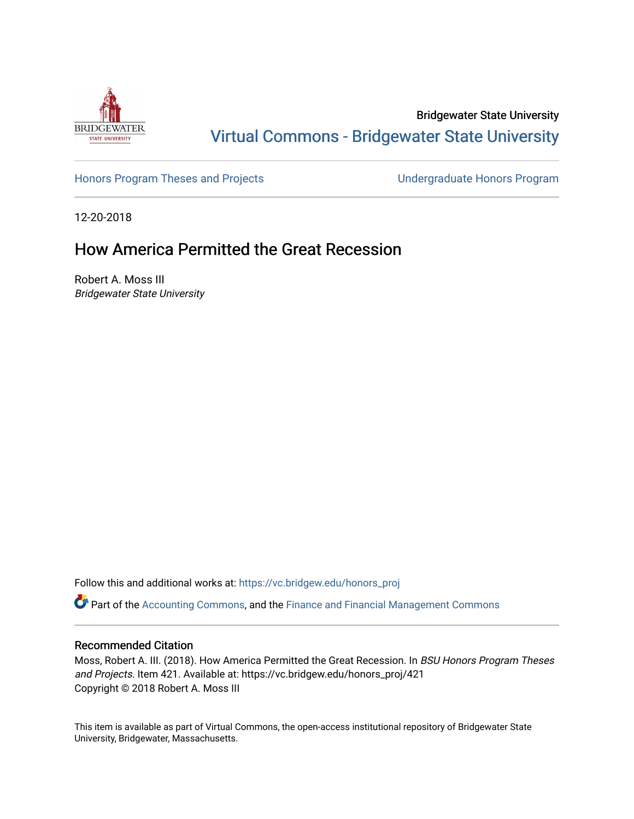

Bridgewater State University [Virtual Commons - Bridgewater State University](https://vc.bridgew.edu/) 

[Honors Program Theses and Projects](https://vc.bridgew.edu/honors_proj) [Undergraduate Honors Program](https://vc.bridgew.edu/honors) 

12-20-2018

## How America Permitted the Great Recession

Robert A. Moss III Bridgewater State University

Follow this and additional works at: [https://vc.bridgew.edu/honors\\_proj](https://vc.bridgew.edu/honors_proj?utm_source=vc.bridgew.edu%2Fhonors_proj%2F421&utm_medium=PDF&utm_campaign=PDFCoverPages)

Part of the [Accounting Commons](http://network.bepress.com/hgg/discipline/625?utm_source=vc.bridgew.edu%2Fhonors_proj%2F421&utm_medium=PDF&utm_campaign=PDFCoverPages), and the [Finance and Financial Management Commons](http://network.bepress.com/hgg/discipline/631?utm_source=vc.bridgew.edu%2Fhonors_proj%2F421&utm_medium=PDF&utm_campaign=PDFCoverPages) 

## Recommended Citation

Moss, Robert A. III. (2018). How America Permitted the Great Recession. In BSU Honors Program Theses and Projects. Item 421. Available at: https://vc.bridgew.edu/honors\_proj/421 Copyright © 2018 Robert A. Moss III

This item is available as part of Virtual Commons, the open-access institutional repository of Bridgewater State University, Bridgewater, Massachusetts.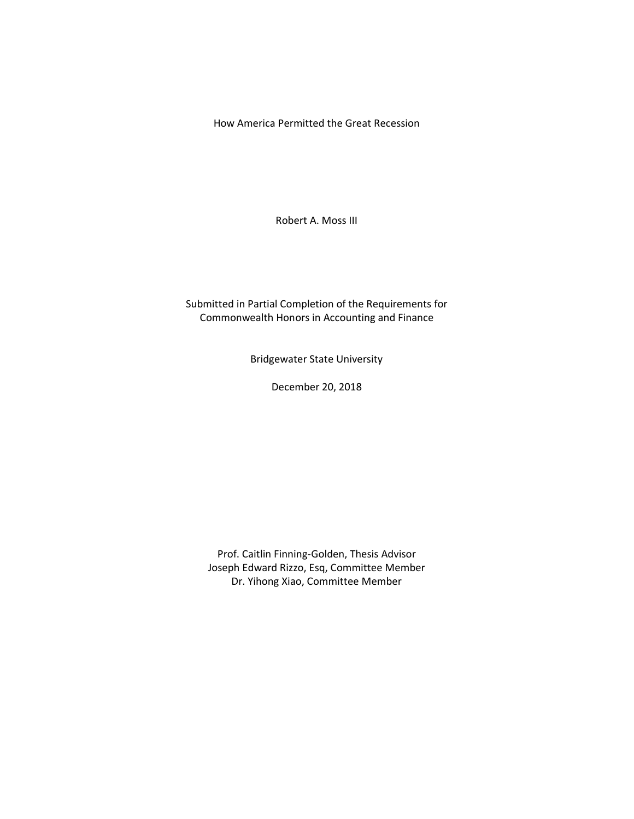How America Permitted the Great Recession

Robert A. Moss III

Submitted in Partial Completion of the Requirements for Commonwealth Honors in Accounting and Finance

Bridgewater State University

December 20, 2018

Prof. Caitlin Finning-Golden, Thesis Advisor Joseph Edward Rizzo, Esq, Committee Member Dr. Yihong Xiao, Committee Member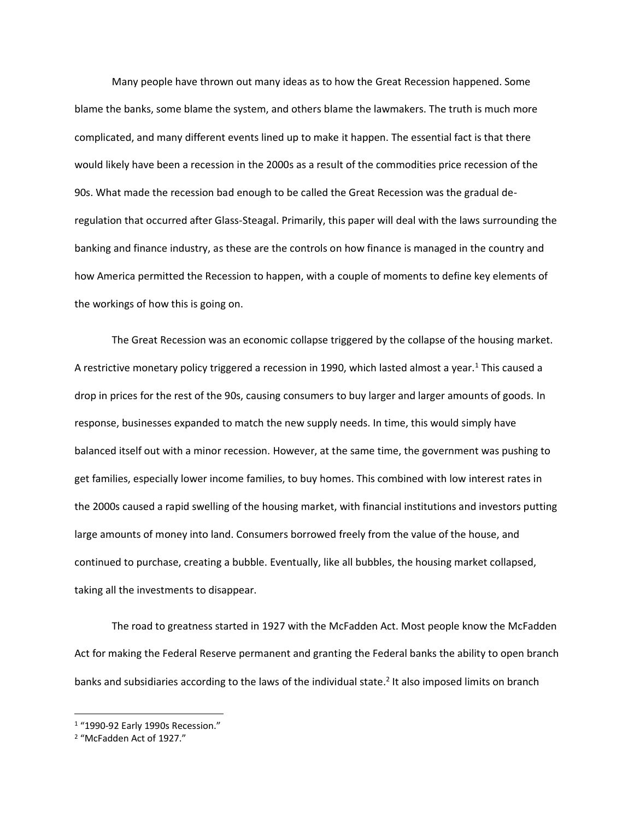Many people have thrown out many ideas as to how the Great Recession happened. Some blame the banks, some blame the system, and others blame the lawmakers. The truth is much more complicated, and many different events lined up to make it happen. The essential fact is that there would likely have been a recession in the 2000s as a result of the commodities price recession of the 90s. What made the recession bad enough to be called the Great Recession was the gradual deregulation that occurred after Glass-Steagal. Primarily, this paper will deal with the laws surrounding the banking and finance industry, as these are the controls on how finance is managed in the country and how America permitted the Recession to happen, with a couple of moments to define key elements of the workings of how this is going on.

The Great Recession was an economic collapse triggered by the collapse of the housing market. A restrictive monetary policy triggered a recession in 1990, which lasted almost a year.<sup>1</sup> This caused a drop in prices for the rest of the 90s, causing consumers to buy larger and larger amounts of goods. In response, businesses expanded to match the new supply needs. In time, this would simply have balanced itself out with a minor recession. However, at the same time, the government was pushing to get families, especially lower income families, to buy homes. This combined with low interest rates in the 2000s caused a rapid swelling of the housing market, with financial institutions and investors putting large amounts of money into land. Consumers borrowed freely from the value of the house, and continued to purchase, creating a bubble. Eventually, like all bubbles, the housing market collapsed, taking all the investments to disappear.

The road to greatness started in 1927 with the McFadden Act. Most people know the McFadden Act for making the Federal Reserve permanent and granting the Federal banks the ability to open branch banks and subsidiaries according to the laws of the individual state. 2 It also imposed limits on branch

<sup>1</sup> "1990-92 Early 1990s Recession."

<sup>2</sup> "McFadden Act of 1927."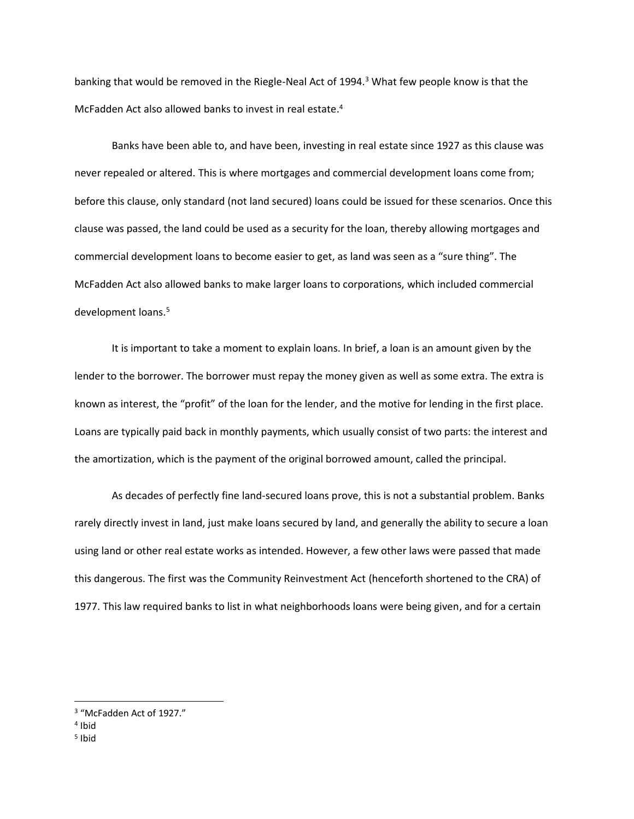banking that would be removed in the Riegle-Neal Act of 1994. <sup>3</sup> What few people know is that the McFadden Act also allowed banks to invest in real estate. 4

Banks have been able to, and have been, investing in real estate since 1927 as this clause was never repealed or altered. This is where mortgages and commercial development loans come from; before this clause, only standard (not land secured) loans could be issued for these scenarios. Once this clause was passed, the land could be used as a security for the loan, thereby allowing mortgages and commercial development loans to become easier to get, as land was seen as a "sure thing". The McFadden Act also allowed banks to make larger loans to corporations, which included commercial development loans. 5

It is important to take a moment to explain loans. In brief, a loan is an amount given by the lender to the borrower. The borrower must repay the money given as well as some extra. The extra is known as interest, the "profit" of the loan for the lender, and the motive for lending in the first place. Loans are typically paid back in monthly payments, which usually consist of two parts: the interest and the amortization, which is the payment of the original borrowed amount, called the principal.

As decades of perfectly fine land-secured loans prove, this is not a substantial problem. Banks rarely directly invest in land, just make loans secured by land, and generally the ability to secure a loan using land or other real estate works as intended. However, a few other laws were passed that made this dangerous. The first was the Community Reinvestment Act (henceforth shortened to the CRA) of 1977. This law required banks to list in what neighborhoods loans were being given, and for a certain

<sup>3</sup> "McFadden Act of 1927."

<sup>4</sup> Ibid

<sup>&</sup>lt;sup>5</sup> Ibid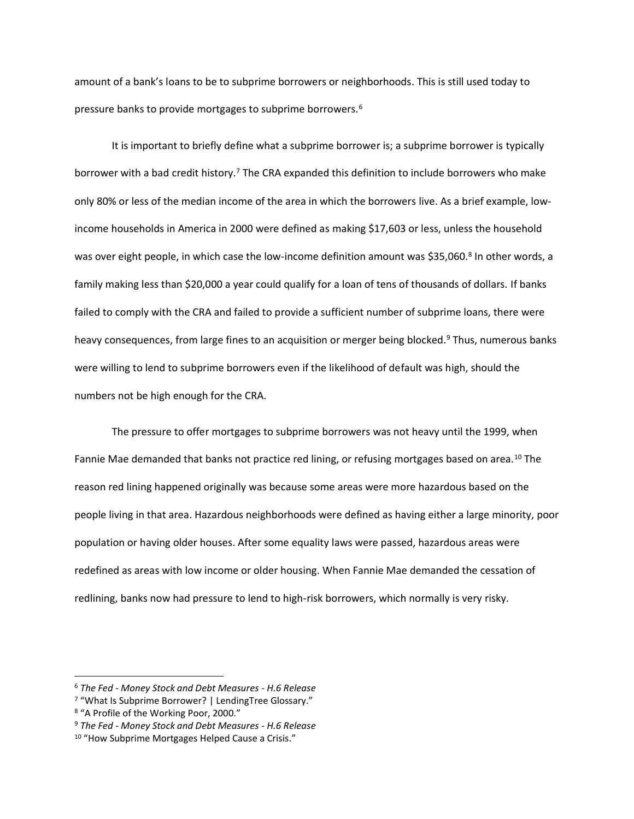amount of a bank's loans to be to subprime borrowers or neighborhoods. This is still used today to pressure banks to provide mortgages to subprime borrowers.<sup>6</sup>

It is important to briefly define what a subprime borrower is; a subprime borrower is typically borrower with a bad credit history.<sup>7</sup> The CRA expanded this definition to include borrowers who make only 80% or less of the median income of the area in which the borrowers live. As a brief example, lowincome households in America in 2000 were defined as making \$17,603 or less, unless the household was over eight people, in which case the low-income definition amount was \$35,060.<sup>8</sup> In other words, a family making less than \$20,000 a year could qualify for a loan of tens of thousands of dollars. If banks failed to comply with the CRA and failed to provide a sufficient number of subprime loans, there were heavy consequences, from large fines to an acquisition or merger being blocked.<sup>9</sup> Thus, numerous banks were willing to lend to subprime borrowers even if the likelihood of default was high, should the numbers not be high enough for the CRA.

The pressure to offer mortgages to subprime borrowers was not heavy until the 1999, when Fannie Mae demanded that banks not practice red lining, or refusing mortgages based on area.<sup>10</sup> The reason red lining happened originally was because some areas were more hazardous based on the people living in that area. Hazardous neighborhoods were defined as having either a large minority, poor population or having older houses. After some equality laws were passed, hazardous areas were redefined as areas with low income or older housing. When Fannie Mae demanded the cessation of redlining, banks now had pressure to lend to high-risk borrowers, which normally is very risky.

<sup>6</sup> *The Fed - Money Stock and Debt Measures - H.6 Release*

<sup>7</sup> "What Is Subprime Borrower? | LendingTree Glossary."

<sup>8</sup> "A Profile of the Working Poor, 2000."

<sup>9</sup> *The Fed - Money Stock and Debt Measures - H.6 Release*

<sup>&</sup>lt;sup>10</sup> "How Subprime Mortgages Helped Cause a Crisis."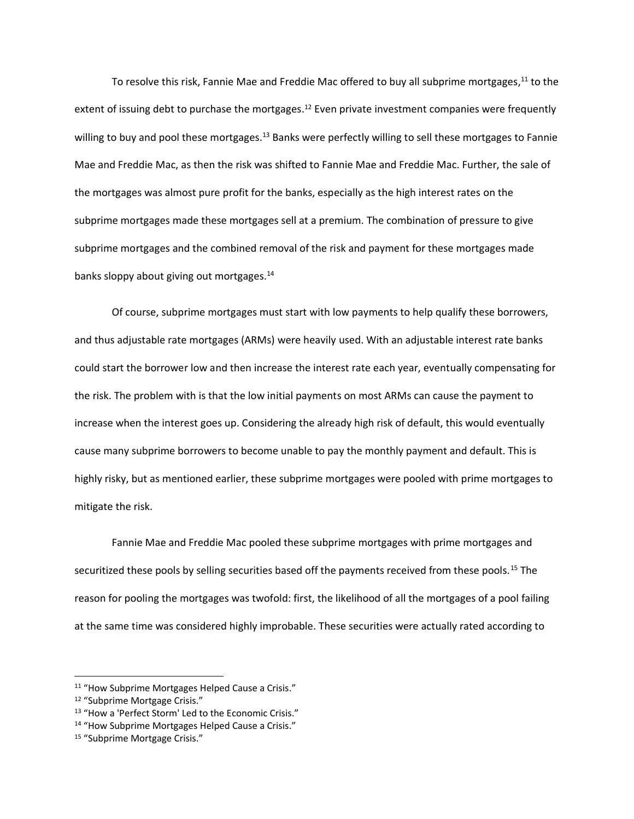To resolve this risk, Fannie Mae and Freddie Mac offered to buy all subprime mortgages,<sup>11</sup> to the extent of issuing debt to purchase the mortgages.<sup>12</sup> Even private investment companies were frequently willing to buy and pool these mortgages.<sup>13</sup> Banks were perfectly willing to sell these mortgages to Fannie Mae and Freddie Mac, as then the risk was shifted to Fannie Mae and Freddie Mac. Further, the sale of the mortgages was almost pure profit for the banks, especially as the high interest rates on the subprime mortgages made these mortgages sell at a premium. The combination of pressure to give subprime mortgages and the combined removal of the risk and payment for these mortgages made banks sloppy about giving out mortgages.<sup>14</sup>

Of course, subprime mortgages must start with low payments to help qualify these borrowers, and thus adjustable rate mortgages (ARMs) were heavily used. With an adjustable interest rate banks could start the borrower low and then increase the interest rate each year, eventually compensating for the risk. The problem with is that the low initial payments on most ARMs can cause the payment to increase when the interest goes up. Considering the already high risk of default, this would eventually cause many subprime borrowers to become unable to pay the monthly payment and default. This is highly risky, but as mentioned earlier, these subprime mortgages were pooled with prime mortgages to mitigate the risk.

Fannie Mae and Freddie Mac pooled these subprime mortgages with prime mortgages and securitized these pools by selling securities based off the payments received from these pools.<sup>15</sup> The reason for pooling the mortgages was twofold: first, the likelihood of all the mortgages of a pool failing at the same time was considered highly improbable. These securities were actually rated according to

<sup>&</sup>lt;sup>11</sup> "How Subprime Mortgages Helped Cause a Crisis."

<sup>12</sup> "Subprime Mortgage Crisis."

<sup>13 &</sup>quot;How a 'Perfect Storm' Led to the Economic Crisis."

<sup>14</sup> "How Subprime Mortgages Helped Cause a Crisis."

<sup>15</sup> "Subprime Mortgage Crisis."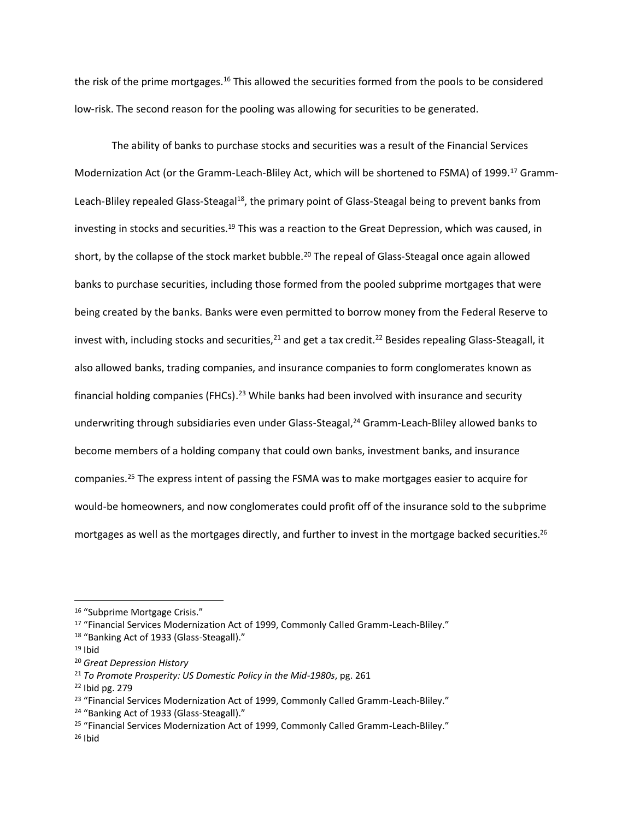the risk of the prime mortgages.<sup>16</sup> This allowed the securities formed from the pools to be considered low-risk. The second reason for the pooling was allowing for securities to be generated.

The ability of banks to purchase stocks and securities was a result of the Financial Services Modernization Act (or the Gramm-Leach-Bliley Act, which will be shortened to FSMA) of 1999.<sup>17</sup> Gramm-Leach-Bliley repealed Glass-Steagal<sup>18</sup>, the primary point of Glass-Steagal being to prevent banks from investing in stocks and securities.<sup>19</sup> This was a reaction to the Great Depression, which was caused, in short, by the collapse of the stock market bubble.<sup>20</sup> The repeal of Glass-Steagal once again allowed banks to purchase securities, including those formed from the pooled subprime mortgages that were being created by the banks. Banks were even permitted to borrow money from the Federal Reserve to invest with, including stocks and securities, $^{21}$  and get a tax credit.<sup>22</sup> Besides repealing Glass-Steagall, it also allowed banks, trading companies, and insurance companies to form conglomerates known as financial holding companies (FHCs).<sup>23</sup> While banks had been involved with insurance and security underwriting through subsidiaries even under Glass-Steagal,<sup>24</sup> Gramm-Leach-Bliley allowed banks to become members of a holding company that could own banks, investment banks, and insurance companies. <sup>25</sup> The express intent of passing the FSMA was to make mortgages easier to acquire for would-be homeowners, and now conglomerates could profit off of the insurance sold to the subprime mortgages as well as the mortgages directly, and further to invest in the mortgage backed securities.<sup>26</sup>

<sup>16</sup> "Subprime Mortgage Crisis."

<sup>17</sup> "Financial Services Modernization Act of 1999, Commonly Called Gramm-Leach-Bliley."

<sup>18 &</sup>quot;Banking Act of 1933 (Glass-Steagall)."

 $19$  Ibid

<sup>20</sup> *Great Depression History*

<sup>21</sup> *To Promote Prosperity: US Domestic Policy in the Mid-1980s*, pg. 261

<sup>22</sup> Ibid pg. 279

<sup>&</sup>lt;sup>23</sup> "Financial Services Modernization Act of 1999, Commonly Called Gramm-Leach-Bliley."

<sup>&</sup>lt;sup>24</sup> "Banking Act of 1933 (Glass-Steagall)."

<sup>25</sup> "Financial Services Modernization Act of 1999, Commonly Called Gramm-Leach-Bliley."

 $26$  Ibid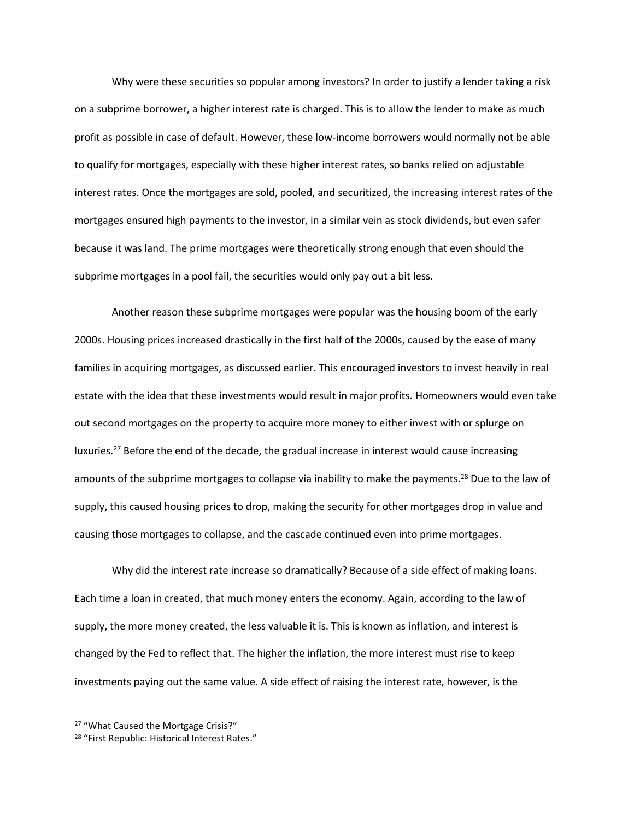Why were these securities so popular among investors? In order to justify a lender taking a risk on a subprime borrower, a higher interest rate is charged. This is to allow the lender to make as much profit as possible in case of default. However, these low-income borrowers would normally not be able to qualify for mortgages, especially with these higher interest rates, so banks relied on adjustable interest rates. Once the mortgages are sold, pooled, and securitized, the increasing interest rates of the mortgages ensured high payments to the investor, in a similar vein as stock dividends, but even safer because it was land. The prime mortgages were theoretically strong enough that even should the subprime mortgages in a pool fail, the securities would only pay out a bit less.

Another reason these subprime mortgages were popular was the housing boom of the early 2000s. Housing prices increased drastically in the first half of the 2000s, caused by the ease of many families in acquiring mortgages, as discussed earlier. This encouraged investors to invest heavily in real estate with the idea that these investments would result in major profits. Homeowners would even take out second mortgages on the property to acquire more money to either invest with or splurge on luxuries.<sup>27</sup> Before the end of the decade, the gradual increase in interest would cause increasing amounts of the subprime mortgages to collapse via inability to make the payments.<sup>28</sup> Due to the law of supply, this caused housing prices to drop, making the security for other mortgages drop in value and causing those mortgages to collapse, and the cascade continued even into prime mortgages.

Why did the interest rate increase so dramatically? Because of a side effect of making loans. Each time a loan in created, that much money enters the economy. Again, according to the law of supply, the more money created, the less valuable it is. This is known as inflation, and interest is changed by the Fed to reflect that. The higher the inflation, the more interest must rise to keep investments paying out the same value. A side effect of raising the interest rate, however, is the

<sup>27</sup> "What Caused the Mortgage Crisis?"

<sup>&</sup>lt;sup>28</sup> "First Republic: Historical Interest Rates."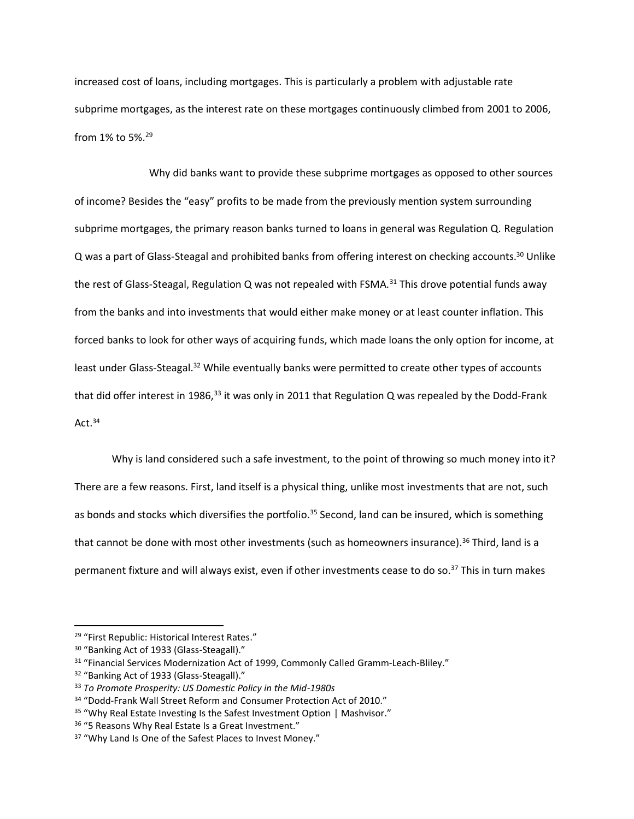increased cost of loans, including mortgages. This is particularly a problem with adjustable rate subprime mortgages, as the interest rate on these mortgages continuously climbed from 2001 to 2006, from 1% to 5%.<sup>29</sup>

Why did banks want to provide these subprime mortgages as opposed to other sources of income? Besides the "easy" profits to be made from the previously mention system surrounding subprime mortgages, the primary reason banks turned to loans in general was Regulation Q. Regulation Q was a part of Glass-Steagal and prohibited banks from offering interest on checking accounts.<sup>30</sup> Unlike the rest of Glass-Steagal, Regulation Q was not repealed with FSMA.<sup>31</sup> This drove potential funds away from the banks and into investments that would either make money or at least counter inflation. This forced banks to look for other ways of acquiring funds, which made loans the only option for income, at least under Glass-Steagal.<sup>32</sup> While eventually banks were permitted to create other types of accounts that did offer interest in 1986,<sup>33</sup> it was only in 2011 that Regulation Q was repealed by the Dodd-Frank Act $34$ 

Why is land considered such a safe investment, to the point of throwing so much money into it? There are a few reasons. First, land itself is a physical thing, unlike most investments that are not, such as bonds and stocks which diversifies the portfolio.<sup>35</sup> Second, land can be insured, which is something that cannot be done with most other investments (such as homeowners insurance). <sup>36</sup> Third, land is a permanent fixture and will always exist, even if other investments cease to do so.<sup>37</sup> This in turn makes

<sup>&</sup>lt;sup>29</sup> "First Republic: Historical Interest Rates."

<sup>30</sup> "Banking Act of 1933 (Glass-Steagall)."

<sup>&</sup>lt;sup>31</sup> "Financial Services Modernization Act of 1999, Commonly Called Gramm-Leach-Bliley."

<sup>&</sup>lt;sup>32</sup> "Banking Act of 1933 (Glass-Steagall)."

<sup>33</sup> *To Promote Prosperity: US Domestic Policy in the Mid-1980s*

<sup>34</sup> "Dodd-Frank Wall Street Reform and Consumer Protection Act of 2010."

<sup>&</sup>lt;sup>35</sup> "Why Real Estate Investing Is the Safest Investment Option | Mashvisor."

<sup>36</sup> "5 Reasons Why Real Estate Is a Great Investment."

<sup>&</sup>lt;sup>37</sup> "Why Land Is One of the Safest Places to Invest Money."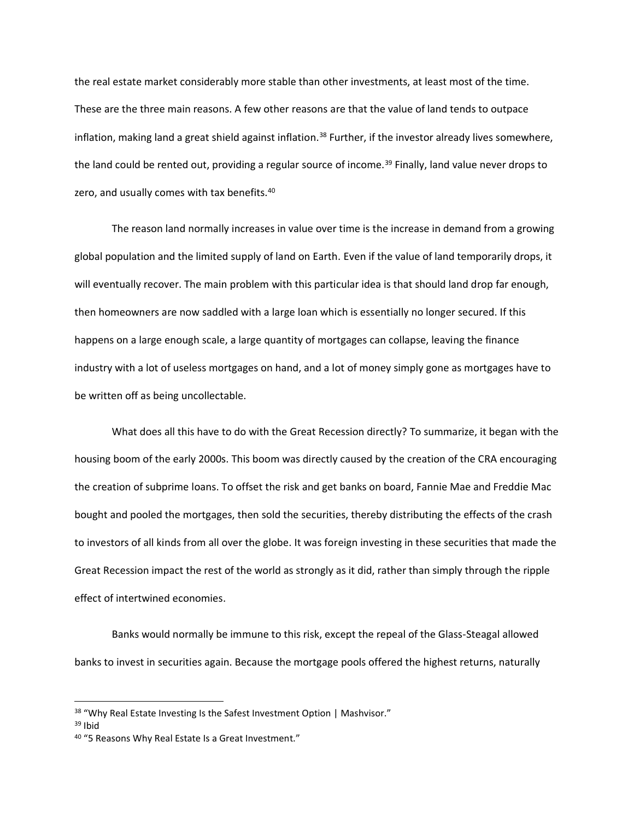the real estate market considerably more stable than other investments, at least most of the time. These are the three main reasons. A few other reasons are that the value of land tends to outpace inflation, making land a great shield against inflation.<sup>38</sup> Further, if the investor already lives somewhere, the land could be rented out, providing a regular source of income.<sup>39</sup> Finally, land value never drops to zero, and usually comes with tax benefits.<sup>40</sup>

The reason land normally increases in value over time is the increase in demand from a growing global population and the limited supply of land on Earth. Even if the value of land temporarily drops, it will eventually recover. The main problem with this particular idea is that should land drop far enough, then homeowners are now saddled with a large loan which is essentially no longer secured. If this happens on a large enough scale, a large quantity of mortgages can collapse, leaving the finance industry with a lot of useless mortgages on hand, and a lot of money simply gone as mortgages have to be written off as being uncollectable.

What does all this have to do with the Great Recession directly? To summarize, it began with the housing boom of the early 2000s. This boom was directly caused by the creation of the CRA encouraging the creation of subprime loans. To offset the risk and get banks on board, Fannie Mae and Freddie Mac bought and pooled the mortgages, then sold the securities, thereby distributing the effects of the crash to investors of all kinds from all over the globe. It was foreign investing in these securities that made the Great Recession impact the rest of the world as strongly as it did, rather than simply through the ripple effect of intertwined economies.

Banks would normally be immune to this risk, except the repeal of the Glass-Steagal allowed banks to invest in securities again. Because the mortgage pools offered the highest returns, naturally

<sup>&</sup>lt;sup>38</sup> "Why Real Estate Investing Is the Safest Investment Option | Mashvisor."

<sup>39</sup> Ibid

<sup>&</sup>lt;sup>40</sup> "5 Reasons Why Real Estate Is a Great Investment."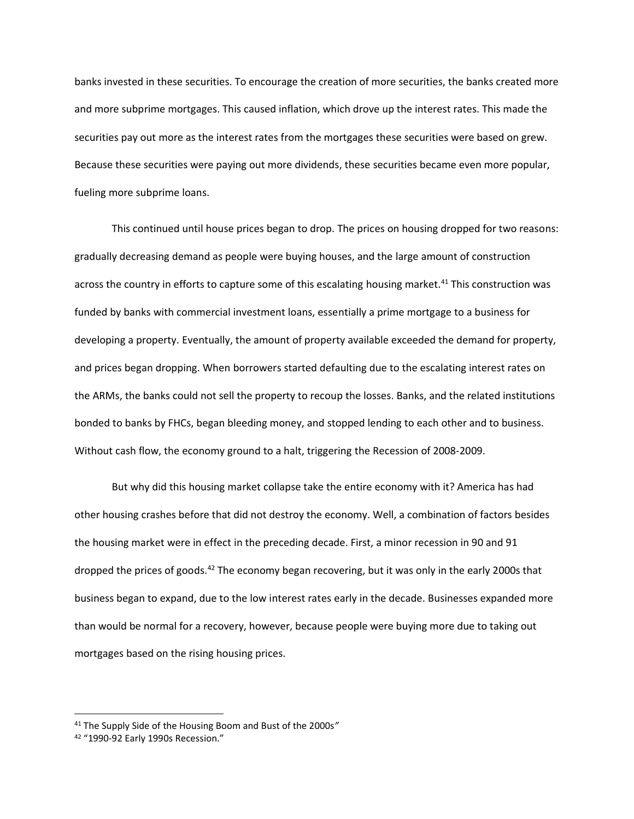banks invested in these securities. To encourage the creation of more securities, the banks created more and more subprime mortgages. This caused inflation, which drove up the interest rates. This made the securities pay out more as the interest rates from the mortgages these securities were based on grew. Because these securities were paying out more dividends, these securities became even more popular, fueling more subprime loans.

This continued until house prices began to drop. The prices on housing dropped for two reasons: gradually decreasing demand as people were buying houses, and the large amount of construction across the country in efforts to capture some of this escalating housing market.<sup>41</sup> This construction was funded by banks with commercial investment loans, essentially a prime mortgage to a business for developing a property. Eventually, the amount of property available exceeded the demand for property, and prices began dropping. When borrowers started defaulting due to the escalating interest rates on the ARMs, the banks could not sell the property to recoup the losses. Banks, and the related institutions bonded to banks by FHCs, began bleeding money, and stopped lending to each other and to business. Without cash flow, the economy ground to a halt, triggering the Recession of 2008-2009.

But why did this housing market collapse take the entire economy with it? America has had other housing crashes before that did not destroy the economy. Well, a combination of factors besides the housing market were in effect in the preceding decade. First, a minor recession in 90 and 91 dropped the prices of goods.<sup>42</sup> The economy began recovering, but it was only in the early 2000s that business began to expand, due to the low interest rates early in the decade. Businesses expanded more than would be normal for a recovery, however, because people were buying more due to taking out mortgages based on the rising housing prices.

<sup>41</sup> The Supply Side of the Housing Boom and Bust of the 2000s*"*

<sup>42</sup> "1990-92 Early 1990s Recession."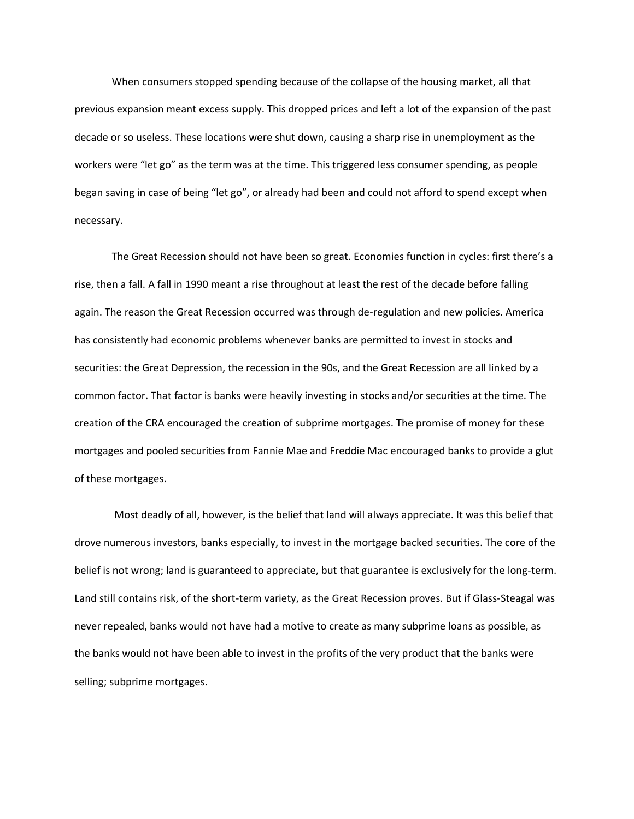When consumers stopped spending because of the collapse of the housing market, all that previous expansion meant excess supply. This dropped prices and left a lot of the expansion of the past decade or so useless. These locations were shut down, causing a sharp rise in unemployment as the workers were "let go" as the term was at the time. This triggered less consumer spending, as people began saving in case of being "let go", or already had been and could not afford to spend except when necessary.

The Great Recession should not have been so great. Economies function in cycles: first there's a rise, then a fall. A fall in 1990 meant a rise throughout at least the rest of the decade before falling again. The reason the Great Recession occurred was through de-regulation and new policies. America has consistently had economic problems whenever banks are permitted to invest in stocks and securities: the Great Depression, the recession in the 90s, and the Great Recession are all linked by a common factor. That factor is banks were heavily investing in stocks and/or securities at the time. The creation of the CRA encouraged the creation of subprime mortgages. The promise of money for these mortgages and pooled securities from Fannie Mae and Freddie Mac encouraged banks to provide a glut of these mortgages.

Most deadly of all, however, is the belief that land will always appreciate. It was this belief that drove numerous investors, banks especially, to invest in the mortgage backed securities. The core of the belief is not wrong; land is guaranteed to appreciate, but that guarantee is exclusively for the long-term. Land still contains risk, of the short-term variety, as the Great Recession proves. But if Glass-Steagal was never repealed, banks would not have had a motive to create as many subprime loans as possible, as the banks would not have been able to invest in the profits of the very product that the banks were selling; subprime mortgages.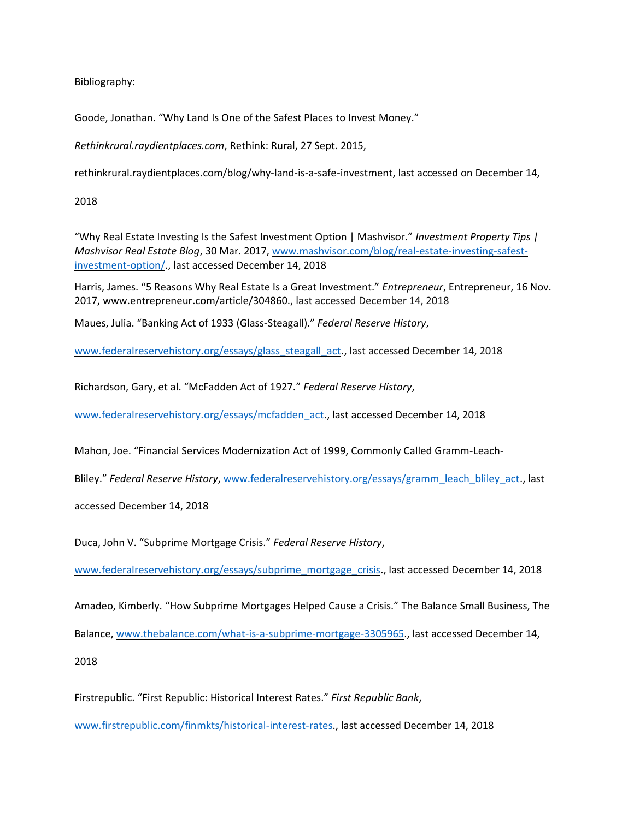Bibliography:

Goode, Jonathan. "Why Land Is One of the Safest Places to Invest Money."

*Rethinkrural.raydientplaces.com*, Rethink: Rural, 27 Sept. 2015,

rethinkrural.raydientplaces.com/blog/why-land-is-a-safe-investment, last accessed on December 14,

2018

"Why Real Estate Investing Is the Safest Investment Option | Mashvisor." *Investment Property Tips | Mashvisor Real Estate Blog*, 30 Mar. 2017, [www.mashvisor.com/blog/real-estate-investing-safest](http://www.mashvisor.com/blog/real-estate-investing-safest-investment-option/)[investment-option/.](http://www.mashvisor.com/blog/real-estate-investing-safest-investment-option/), last accessed December 14, 2018

Harris, James. "5 Reasons Why Real Estate Is a Great Investment." *Entrepreneur*, Entrepreneur, 16 Nov. 2017, www.entrepreneur.com/article/304860., last accessed December 14, 2018

Maues, Julia. "Banking Act of 1933 (Glass-Steagall)." *Federal Reserve History*,

[www.federalreservehistory.org/essays/glass\\_steagall\\_act.](http://www.federalreservehistory.org/essays/glass_steagall_act), last accessed December 14, 2018

Richardson, Gary, et al. "McFadden Act of 1927." *Federal Reserve History*,

[www.federalreservehistory.org/essays/mcfadden\\_act.](http://www.federalreservehistory.org/essays/mcfadden_act), last accessed December 14, 2018

Mahon, Joe. "Financial Services Modernization Act of 1999, Commonly Called Gramm-Leach-

Bliley." Federal Reserve History[, www.federalreservehistory.org/essays/gramm\\_leach\\_bliley\\_act.](http://www.federalreservehistory.org/essays/gramm_leach_bliley_act), last

accessed December 14, 2018

Duca, John V. "Subprime Mortgage Crisis." *Federal Reserve History*,

[www.federalreservehistory.org/essays/subprime\\_mortgage\\_crisis.](http://www.federalreservehistory.org/essays/subprime_mortgage_crisis), last accessed December 14, 2018

Amadeo, Kimberly. "How Subprime Mortgages Helped Cause a Crisis." The Balance Small Business, The

Balance, [www.thebalance.com/what-is-a-subprime-mortgage-3305965.](http://www.thebalance.com/what-is-a-subprime-mortgage-3305965), last accessed December 14,

2018

Firstrepublic. "First Republic: Historical Interest Rates." *First Republic Bank*,

[www.firstrepublic.com/finmkts/historical-interest-rates.](http://www.firstrepublic.com/finmkts/historical-interest-rates), last accessed December 14, 2018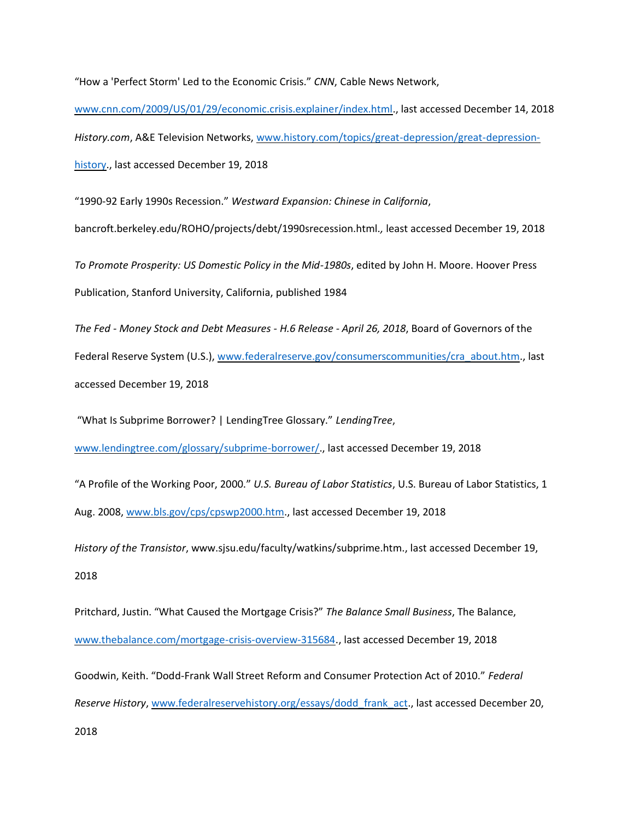"How a 'Perfect Storm' Led to the Economic Crisis." *CNN*, Cable News Network,

[www.cnn.com/2009/US/01/29/economic.crisis.explainer/index.html.](http://www.cnn.com/2009/US/01/29/economic.crisis.explainer/index.html), last accessed December 14, 2018 *History.com*, A&E Television Networks, [www.history.com/topics/great-depression/great-depression](http://www.history.com/topics/great-depression/great-depression-history)[history.](http://www.history.com/topics/great-depression/great-depression-history), last accessed December 19, 2018

"1990-92 Early 1990s Recession." *Westward Expansion: Chinese in California*,

bancroft.berkeley.edu/ROHO/projects/debt/1990srecession.html.*,* least accessed December 19, 2018

*To Promote Prosperity: US Domestic Policy in the Mid-1980s*, edited by John H. Moore. Hoover Press Publication, Stanford University, California, published 1984

*The Fed - Money Stock and Debt Measures - H.6 Release - April 26, 2018*, Board of Governors of the Federal Reserve System (U.S.), [www.federalreserve.gov/consumerscommunities/cra\\_about.htm.](http://www.federalreserve.gov/consumerscommunities/cra_about.htm), last accessed December 19, 2018

"What Is Subprime Borrower? | LendingTree Glossary." *LendingTree*,

[www.lendingtree.com/glossary/subprime-borrower/.](http://www.lendingtree.com/glossary/subprime-borrower/), last accessed December 19, 2018

"A Profile of the Working Poor, 2000." *U.S. Bureau of Labor Statistics*, U.S. Bureau of Labor Statistics, 1 Aug. 2008, [www.bls.gov/cps/cpswp2000.htm.](http://www.bls.gov/cps/cpswp2000.htm), last accessed December 19, 2018

*History of the Transistor*, www.sjsu.edu/faculty/watkins/subprime.htm., last accessed December 19, 2018

Pritchard, Justin. "What Caused the Mortgage Crisis?" *The Balance Small Business*, The Balance, [www.thebalance.com/mortgage-crisis-overview-315684.](http://www.thebalance.com/mortgage-crisis-overview-315684), last accessed December 19, 2018

Goodwin, Keith. "Dodd-Frank Wall Street Reform and Consumer Protection Act of 2010." *Federal Reserve History*, [www.federalreservehistory.org/essays/dodd\\_frank\\_act.](http://www.federalreservehistory.org/essays/dodd_frank_act), last accessed December 20, 2018